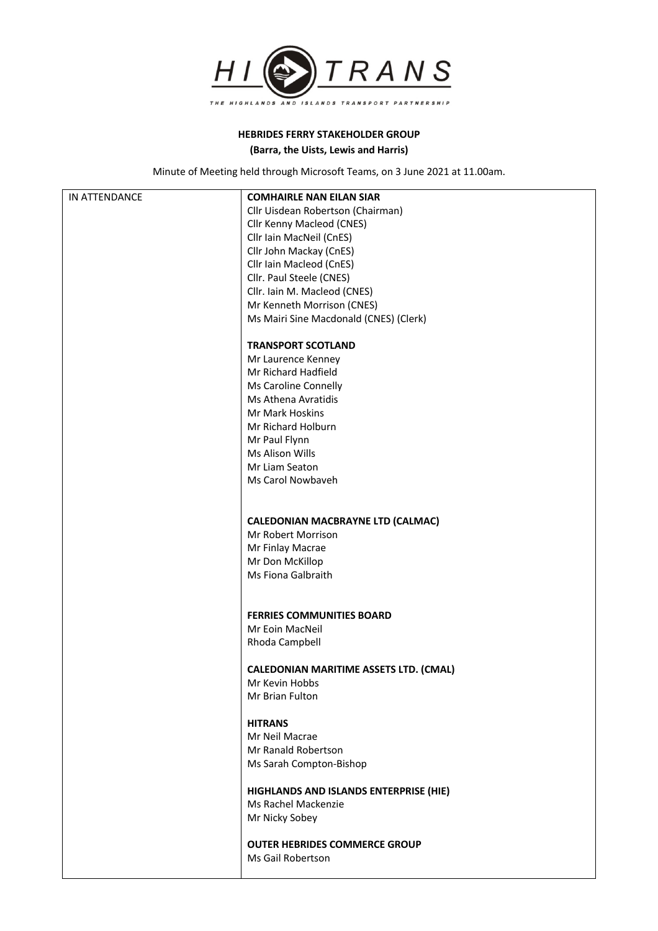

## **HEBRIDES FERRY STAKEHOLDER GROUP (Barra, the Uists, Lewis and Harris)**

Minute of Meeting held through Microsoft Teams, on 3 June 2021 at 11.00am.

| IN ATTENDANCE | <b>COMHAIRLE NAN EILAN SIAR</b>               |
|---------------|-----------------------------------------------|
|               | Cllr Uisdean Robertson (Chairman)             |
|               | Cllr Kenny Macleod (CNES)                     |
|               | Cllr Iain MacNeil (CnES)                      |
|               | Cllr John Mackay (CnES)                       |
|               | Cllr Iain Macleod (CnES)                      |
|               | Cllr. Paul Steele (CNES)                      |
|               | Cllr. Iain M. Macleod (CNES)                  |
|               | Mr Kenneth Morrison (CNES)                    |
|               | Ms Mairi Sine Macdonald (CNES) (Clerk)        |
|               | <b>TRANSPORT SCOTLAND</b>                     |
|               | Mr Laurence Kenney                            |
|               | Mr Richard Hadfield                           |
|               | Ms Caroline Connelly                          |
|               | Ms Athena Avratidis                           |
|               | Mr Mark Hoskins                               |
|               | Mr Richard Holburn                            |
|               | Mr Paul Flynn                                 |
|               | Ms Alison Wills                               |
|               | Mr Liam Seaton                                |
|               | Ms Carol Nowbaveh                             |
|               |                                               |
|               |                                               |
|               | <b>CALEDONIAN MACBRAYNE LTD (CALMAC)</b>      |
|               | Mr Robert Morrison                            |
|               | Mr Finlay Macrae                              |
|               | Mr Don McKillop                               |
|               | Ms Fiona Galbraith                            |
|               |                                               |
|               | <b>FERRIES COMMUNITIES BOARD</b>              |
|               | Mr Eoin MacNeil                               |
|               | Rhoda Campbell                                |
|               | <b>CALEDONIAN MARITIME ASSETS LTD. (CMAL)</b> |
|               | Mr Kevin Hobbs                                |
|               | Mr Brian Fulton                               |
|               |                                               |
|               | <b>HITRANS</b>                                |
|               | Mr Neil Macrae                                |
|               | Mr Ranald Robertson                           |
|               | Ms Sarah Compton-Bishop                       |
|               | HIGHLANDS AND ISLANDS ENTERPRISE (HIE)        |
|               | Ms Rachel Mackenzie                           |
|               | Mr Nicky Sobey                                |
|               |                                               |
|               | <b>OUTER HEBRIDES COMMERCE GROUP</b>          |
|               | Ms Gail Robertson                             |
|               |                                               |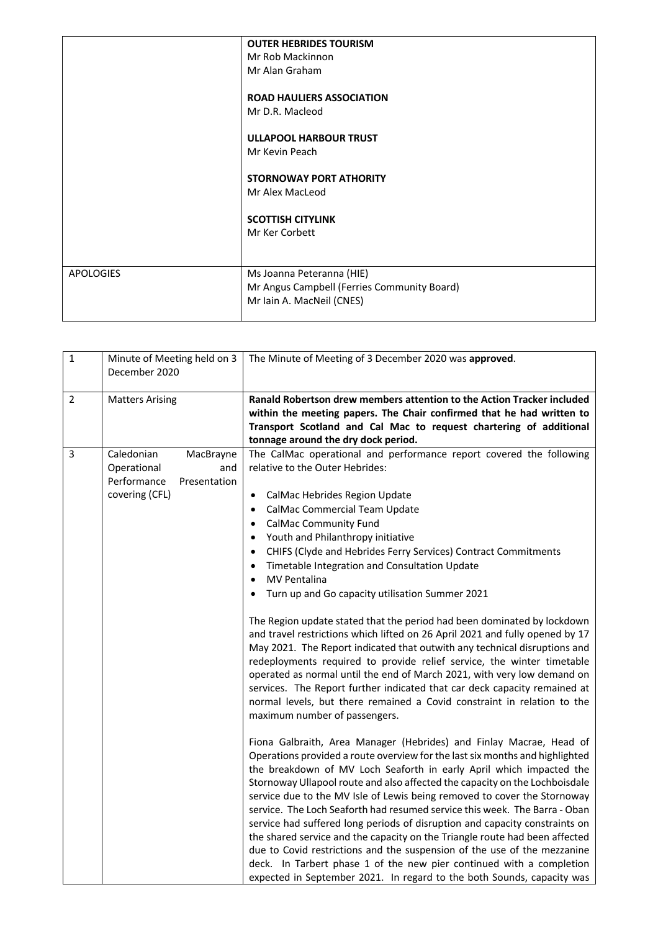|                  | <b>OUTER HEBRIDES TOURISM</b><br>Mr Rob Mackinnon<br>Mr Alan Graham<br><b>ROAD HAULIERS ASSOCIATION</b><br>Mr D.R. Macleod |
|------------------|----------------------------------------------------------------------------------------------------------------------------|
|                  | <b>ULLAPOOL HARBOUR TRUST</b><br>Mr Kevin Peach<br><b>STORNOWAY PORT ATHORITY</b><br>Mr Alex MacLeod                       |
|                  | <b>SCOTTISH CITYLINK</b><br>Mr Ker Corbett                                                                                 |
| <b>APOLOGIES</b> | Ms Joanna Peteranna (HIE)<br>Mr Angus Campbell (Ferries Community Board)<br>Mr Iain A. MacNeil (CNES)                      |

| $\mathbf{1}$   | Minute of Meeting held on 3<br>December 2020                                                   | The Minute of Meeting of 3 December 2020 was approved.                                                                                                                                                                                                                                                                                                                                                                                                                                                                                                                                                                                                                                                                                                                                                                                                                                                                                                                                                                                                                                                                                                                                                                                                                                                                                                                                                                                                                                                                                                                                                                                                                                                                                                                                                                                                                                                                                                               |
|----------------|------------------------------------------------------------------------------------------------|----------------------------------------------------------------------------------------------------------------------------------------------------------------------------------------------------------------------------------------------------------------------------------------------------------------------------------------------------------------------------------------------------------------------------------------------------------------------------------------------------------------------------------------------------------------------------------------------------------------------------------------------------------------------------------------------------------------------------------------------------------------------------------------------------------------------------------------------------------------------------------------------------------------------------------------------------------------------------------------------------------------------------------------------------------------------------------------------------------------------------------------------------------------------------------------------------------------------------------------------------------------------------------------------------------------------------------------------------------------------------------------------------------------------------------------------------------------------------------------------------------------------------------------------------------------------------------------------------------------------------------------------------------------------------------------------------------------------------------------------------------------------------------------------------------------------------------------------------------------------------------------------------------------------------------------------------------------------|
| $\overline{2}$ | <b>Matters Arising</b>                                                                         | Ranald Robertson drew members attention to the Action Tracker included<br>within the meeting papers. The Chair confirmed that he had written to<br>Transport Scotland and Cal Mac to request chartering of additional<br>tonnage around the dry dock period.                                                                                                                                                                                                                                                                                                                                                                                                                                                                                                                                                                                                                                                                                                                                                                                                                                                                                                                                                                                                                                                                                                                                                                                                                                                                                                                                                                                                                                                                                                                                                                                                                                                                                                         |
| $\overline{3}$ | Caledonian<br>MacBrayne<br>Operational<br>and<br>Performance<br>Presentation<br>covering (CFL) | The CalMac operational and performance report covered the following<br>relative to the Outer Hebrides:<br>CalMac Hebrides Region Update<br>$\bullet$<br>CalMac Commercial Team Update<br>$\bullet$<br><b>CalMac Community Fund</b><br>$\bullet$<br>Youth and Philanthropy initiative<br>CHIFS (Clyde and Hebrides Ferry Services) Contract Commitments<br>$\bullet$<br>Timetable Integration and Consultation Update<br><b>MV Pentalina</b><br>$\bullet$<br>Turn up and Go capacity utilisation Summer 2021<br>The Region update stated that the period had been dominated by lockdown<br>and travel restrictions which lifted on 26 April 2021 and fully opened by 17<br>May 2021. The Report indicated that outwith any technical disruptions and<br>redeployments required to provide relief service, the winter timetable<br>operated as normal until the end of March 2021, with very low demand on<br>services. The Report further indicated that car deck capacity remained at<br>normal levels, but there remained a Covid constraint in relation to the<br>maximum number of passengers.<br>Fiona Galbraith, Area Manager (Hebrides) and Finlay Macrae, Head of<br>Operations provided a route overview for the last six months and highlighted<br>the breakdown of MV Loch Seaforth in early April which impacted the<br>Stornoway Ullapool route and also affected the capacity on the Lochboisdale<br>service due to the MV Isle of Lewis being removed to cover the Stornoway<br>service. The Loch Seaforth had resumed service this week. The Barra - Oban<br>service had suffered long periods of disruption and capacity constraints on<br>the shared service and the capacity on the Triangle route had been affected<br>due to Covid restrictions and the suspension of the use of the mezzanine<br>deck. In Tarbert phase 1 of the new pier continued with a completion<br>expected in September 2021. In regard to the both Sounds, capacity was |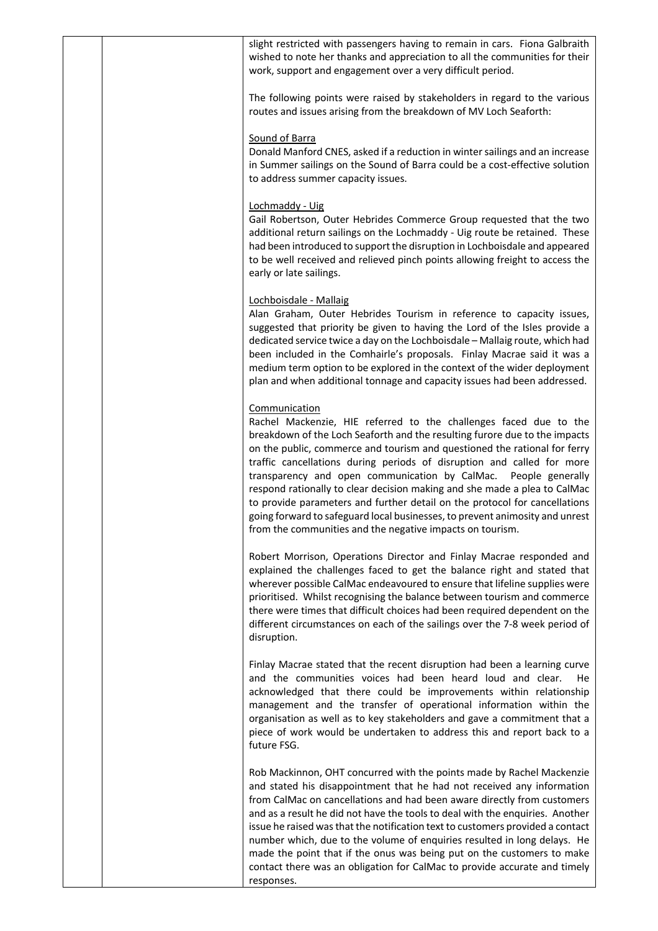slight restricted with passengers having to remain in cars. Fiona Galbraith wished to note her thanks and appreciation to all the communities for their work, support and engagement over a very difficult period. The following points were raised by stakeholders in regard to the various routes and issues arising from the breakdown of MV Loch Seaforth: Sound of Barra Donald Manford CNES, asked if a reduction in winter sailings and an increase in Summer sailings on the Sound of Barra could be a cost-effective solution to address summer capacity issues. Lochmaddy - Uig Gail Robertson, Outer Hebrides Commerce Group requested that the two additional return sailings on the Lochmaddy - Uig route be retained. These had been introduced to support the disruption in Lochboisdale and appeared to be well received and relieved pinch points allowing freight to access the early or late sailings. Lochboisdale - Mallaig Alan Graham, Outer Hebrides Tourism in reference to capacity issues, suggested that priority be given to having the Lord of the Isles provide a dedicated service twice a day on the Lochboisdale – Mallaig route, which had been included in the Comhairle's proposals. Finlay Macrae said it was a medium term option to be explored in the context of the wider deployment plan and when additional tonnage and capacity issues had been addressed. Communication Rachel Mackenzie, HIE referred to the challenges faced due to the breakdown of the Loch Seaforth and the resulting furore due to the impacts on the public, commerce and tourism and questioned the rational for ferry traffic cancellations during periods of disruption and called for more transparency and open communication by CalMac. People generally respond rationally to clear decision making and she made a plea to CalMac to provide parameters and further detail on the protocol for cancellations going forward to safeguard local businesses, to prevent animosity and unrest from the communities and the negative impacts on tourism. Robert Morrison, Operations Director and Finlay Macrae responded and explained the challenges faced to get the balance right and stated that wherever possible CalMac endeavoured to ensure that lifeline supplies were prioritised. Whilst recognising the balance between tourism and commerce there were times that difficult choices had been required dependent on the different circumstances on each of the sailings over the 7-8 week period of disruption. Finlay Macrae stated that the recent disruption had been a learning curve and the communities voices had been heard loud and clear. He acknowledged that there could be improvements within relationship management and the transfer of operational information within the organisation as well as to key stakeholders and gave a commitment that a piece of work would be undertaken to address this and report back to a future FSG. Rob Mackinnon, OHT concurred with the points made by Rachel Mackenzie and stated his disappointment that he had not received any information from CalMac on cancellations and had been aware directly from customers and as a result he did not have the tools to deal with the enquiries. Another issue he raised was that the notification text to customers provided a contact

> number which, due to the volume of enquiries resulted in long delays. He made the point that if the onus was being put on the customers to make contact there was an obligation for CalMac to provide accurate and timely

responses.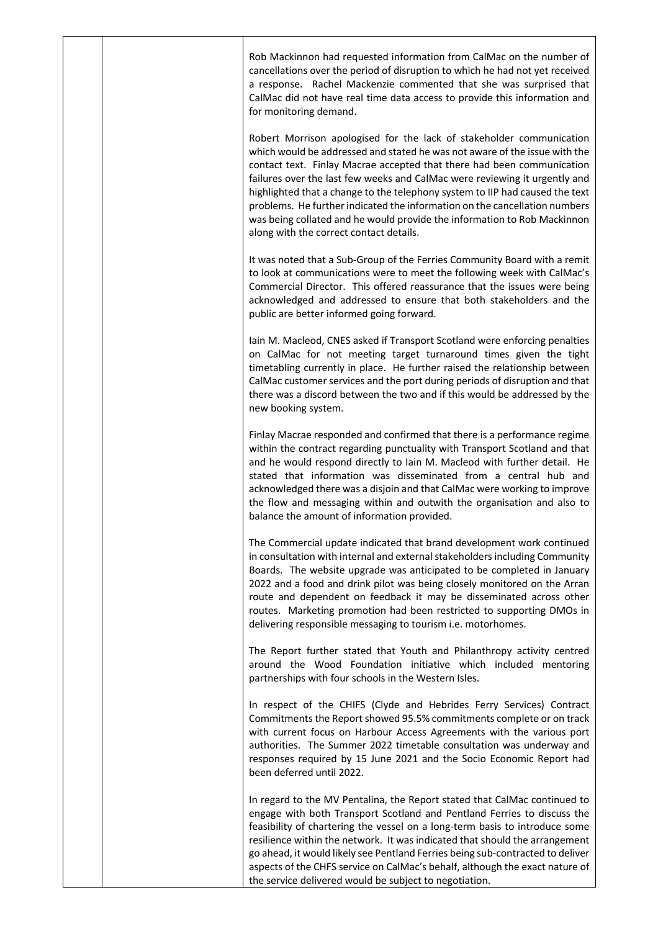Rob Mackinnon had requested information from CalMac on the number of cancellations over the period of disruption to which he had not yet received a response. Rachel Mackenzie commented that she was surprised that CalMac did not have real time data access to provide this information and for monitoring demand.

Robert Morrison apologised for the lack of stakeholder communication which would be addressed and stated he was not aware of the issue with the contact text. Finlay Macrae accepted that there had been communication failures over the last few weeks and CalMac were reviewing it urgently and highlighted that a change to the telephony system to IIP had caused the text problems. He further indicated the information on the cancellation numbers was being collated and he would provide the information to Rob Mackinnon along with the correct contact details.

It was noted that a Sub-Group of the Ferries Community Board with a remit to look at communications were to meet the following week with CalMac's Commercial Director. This offered reassurance that the issues were being acknowledged and addressed to ensure that both stakeholders and the public are better informed going forward.

Iain M. Macleod, CNES asked if Transport Scotland were enforcing penalties on CalMac for not meeting target turnaround times given the tight timetabling currently in place. He further raised the relationship between CalMac customer services and the port during periods of disruption and that there was a discord between the two and if this would be addressed by the new booking system.

Finlay Macrae responded and confirmed that there is a performance regime within the contract regarding punctuality with Transport Scotland and that and he would respond directly to Iain M. Macleod with further detail. He stated that information was disseminated from a central hub and acknowledged there was a disjoin and that CalMac were working to improve the flow and messaging within and outwith the organisation and also to balance the amount of information provided.

The Commercial update indicated that brand development work continued in consultation with internal and external stakeholders including Community Boards. The website upgrade was anticipated to be completed in January 2022 and a food and drink pilot was being closely monitored on the Arran route and dependent on feedback it may be disseminated across other routes. Marketing promotion had been restricted to supporting DMOs in delivering responsible messaging to tourism i.e. motorhomes.

The Report further stated that Youth and Philanthropy activity centred around the Wood Foundation initiative which included mentoring partnerships with four schools in the Western Isles.

In respect of the CHIFS (Clyde and Hebrides Ferry Services) Contract Commitments the Report showed 95.5% commitments complete or on track with current focus on Harbour Access Agreements with the various port authorities. The Summer 2022 timetable consultation was underway and responses required by 15 June 2021 and the Socio Economic Report had been deferred until 2022.

In regard to the MV Pentalina, the Report stated that CalMac continued to engage with both Transport Scotland and Pentland Ferries to discuss the feasibility of chartering the vessel on a long-term basis to introduce some resilience within the network. It was indicated that should the arrangement go ahead, it would likely see Pentland Ferries being sub-contracted to deliver aspects of the CHFS service on CalMac's behalf, although the exact nature of the service delivered would be subject to negotiation.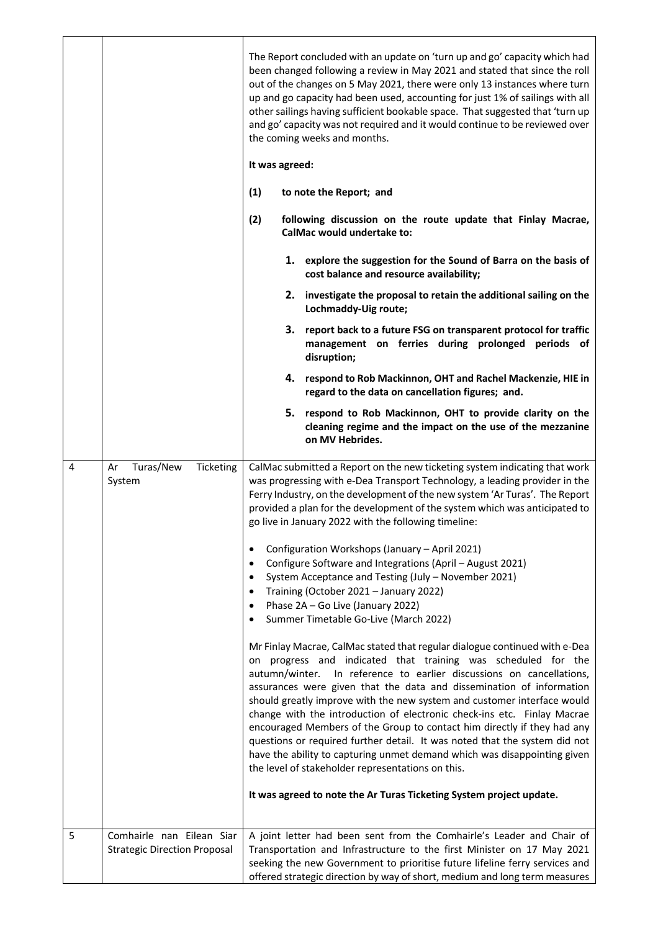|   |                                                                  | The Report concluded with an update on 'turn up and go' capacity which had<br>been changed following a review in May 2021 and stated that since the roll<br>out of the changes on 5 May 2021, there were only 13 instances where turn<br>up and go capacity had been used, accounting for just 1% of sailings with all<br>other sailings having sufficient bookable space. That suggested that 'turn up<br>and go' capacity was not required and it would continue to be reviewed over<br>the coming weeks and months.<br>It was agreed:<br>(1)<br>to note the Report; and<br>(2)<br>following discussion on the route update that Finlay Macrae,<br>CalMac would undertake to:<br>1. explore the suggestion for the Sound of Barra on the basis of<br>cost balance and resource availability;<br>2. investigate the proposal to retain the additional sailing on the<br>Lochmaddy-Uig route;<br>3. report back to a future FSG on transparent protocol for traffic<br>management on ferries during prolonged periods of<br>disruption;<br>4. respond to Rob Mackinnon, OHT and Rachel Mackenzie, HIE in<br>regard to the data on cancellation figures; and.<br>5. respond to Rob Mackinnon, OHT to provide clarity on the<br>cleaning regime and the impact on the use of the mezzanine<br>on MV Hebrides.                                                                                                                                                                                                                                                                      |
|---|------------------------------------------------------------------|----------------------------------------------------------------------------------------------------------------------------------------------------------------------------------------------------------------------------------------------------------------------------------------------------------------------------------------------------------------------------------------------------------------------------------------------------------------------------------------------------------------------------------------------------------------------------------------------------------------------------------------------------------------------------------------------------------------------------------------------------------------------------------------------------------------------------------------------------------------------------------------------------------------------------------------------------------------------------------------------------------------------------------------------------------------------------------------------------------------------------------------------------------------------------------------------------------------------------------------------------------------------------------------------------------------------------------------------------------------------------------------------------------------------------------------------------------------------------------------------------------------------------------------------------------------------------------|
| 4 | Turas/New<br>Ticketing<br>Ar<br>System                           | CalMac submitted a Report on the new ticketing system indicating that work<br>was progressing with e-Dea Transport Technology, a leading provider in the<br>Ferry Industry, on the development of the new system 'Ar Turas'. The Report<br>provided a plan for the development of the system which was anticipated to<br>go live in January 2022 with the following timeline:<br>Configuration Workshops (January - April 2021)<br>$\bullet$<br>Configure Software and Integrations (April - August 2021)<br>$\bullet$<br>System Acceptance and Testing (July - November 2021)<br>$\bullet$<br>Training (October 2021 - January 2022)<br>$\bullet$<br>Phase 2A - Go Live (January 2022)<br>$\bullet$<br>Summer Timetable Go-Live (March 2022)<br>$\bullet$<br>Mr Finlay Macrae, CalMac stated that regular dialogue continued with e-Dea<br>on progress and indicated that training was scheduled for the<br>autumn/winter. In reference to earlier discussions on cancellations,<br>assurances were given that the data and dissemination of information<br>should greatly improve with the new system and customer interface would<br>change with the introduction of electronic check-ins etc. Finlay Macrae<br>encouraged Members of the Group to contact him directly if they had any<br>questions or required further detail. It was noted that the system did not<br>have the ability to capturing unmet demand which was disappointing given<br>the level of stakeholder representations on this.<br>It was agreed to note the Ar Turas Ticketing System project update. |
| 5 | Comhairle nan Eilean Siar<br><b>Strategic Direction Proposal</b> | A joint letter had been sent from the Comhairle's Leader and Chair of<br>Transportation and Infrastructure to the first Minister on 17 May 2021<br>seeking the new Government to prioritise future lifeline ferry services and<br>offered strategic direction by way of short, medium and long term measures                                                                                                                                                                                                                                                                                                                                                                                                                                                                                                                                                                                                                                                                                                                                                                                                                                                                                                                                                                                                                                                                                                                                                                                                                                                                     |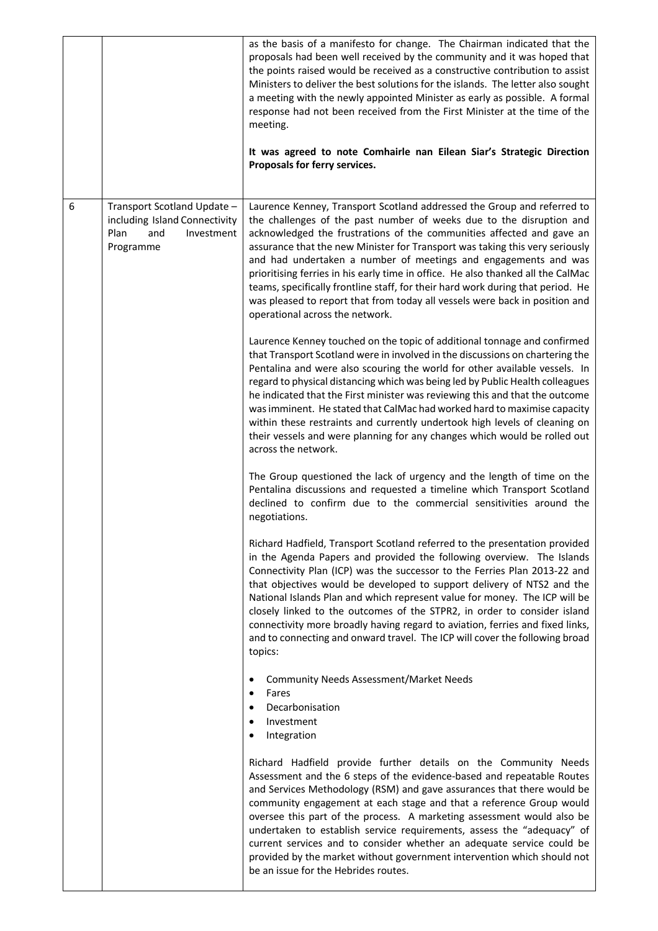|   |                                                                                                        | as the basis of a manifesto for change. The Chairman indicated that the<br>proposals had been well received by the community and it was hoped that<br>the points raised would be received as a constructive contribution to assist<br>Ministers to deliver the best solutions for the islands. The letter also sought<br>a meeting with the newly appointed Minister as early as possible. A formal<br>response had not been received from the First Minister at the time of the<br>meeting.<br>It was agreed to note Comhairle nan Eilean Siar's Strategic Direction<br>Proposals for ferry services.                                                                 |
|---|--------------------------------------------------------------------------------------------------------|------------------------------------------------------------------------------------------------------------------------------------------------------------------------------------------------------------------------------------------------------------------------------------------------------------------------------------------------------------------------------------------------------------------------------------------------------------------------------------------------------------------------------------------------------------------------------------------------------------------------------------------------------------------------|
| 6 | Transport Scotland Update -<br>including Island Connectivity<br>Plan<br>Investment<br>and<br>Programme | Laurence Kenney, Transport Scotland addressed the Group and referred to<br>the challenges of the past number of weeks due to the disruption and<br>acknowledged the frustrations of the communities affected and gave an<br>assurance that the new Minister for Transport was taking this very seriously<br>and had undertaken a number of meetings and engagements and was<br>prioritising ferries in his early time in office. He also thanked all the CalMac<br>teams, specifically frontline staff, for their hard work during that period. He<br>was pleased to report that from today all vessels were back in position and<br>operational across the network.   |
|   |                                                                                                        | Laurence Kenney touched on the topic of additional tonnage and confirmed<br>that Transport Scotland were in involved in the discussions on chartering the<br>Pentalina and were also scouring the world for other available vessels. In<br>regard to physical distancing which was being led by Public Health colleagues<br>he indicated that the First minister was reviewing this and that the outcome<br>was imminent. He stated that CalMac had worked hard to maximise capacity<br>within these restraints and currently undertook high levels of cleaning on<br>their vessels and were planning for any changes which would be rolled out<br>across the network. |
|   |                                                                                                        | The Group questioned the lack of urgency and the length of time on the<br>Pentalina discussions and requested a timeline which Transport Scotland<br>declined to confirm due to the commercial sensitivities around the<br>negotiations.                                                                                                                                                                                                                                                                                                                                                                                                                               |
|   |                                                                                                        | Richard Hadfield, Transport Scotland referred to the presentation provided<br>in the Agenda Papers and provided the following overview. The Islands<br>Connectivity Plan (ICP) was the successor to the Ferries Plan 2013-22 and<br>that objectives would be developed to support delivery of NTS2 and the<br>National Islands Plan and which represent value for money. The ICP will be<br>closely linked to the outcomes of the STPR2, in order to consider island<br>connectivity more broadly having regard to aviation, ferries and fixed links,<br>and to connecting and onward travel. The ICP will cover the following broad<br>topics:                        |
|   |                                                                                                        | <b>Community Needs Assessment/Market Needs</b><br>$\bullet$<br>Fares<br>$\bullet$<br>Decarbonisation<br>$\bullet$<br>Investment<br>$\bullet$<br>Integration<br>$\bullet$                                                                                                                                                                                                                                                                                                                                                                                                                                                                                               |
|   |                                                                                                        | Richard Hadfield provide further details on the Community Needs<br>Assessment and the 6 steps of the evidence-based and repeatable Routes<br>and Services Methodology (RSM) and gave assurances that there would be<br>community engagement at each stage and that a reference Group would<br>oversee this part of the process. A marketing assessment would also be<br>undertaken to establish service requirements, assess the "adequacy" of<br>current services and to consider whether an adequate service could be<br>provided by the market without government intervention which should not<br>be an issue for the Hebrides routes.                             |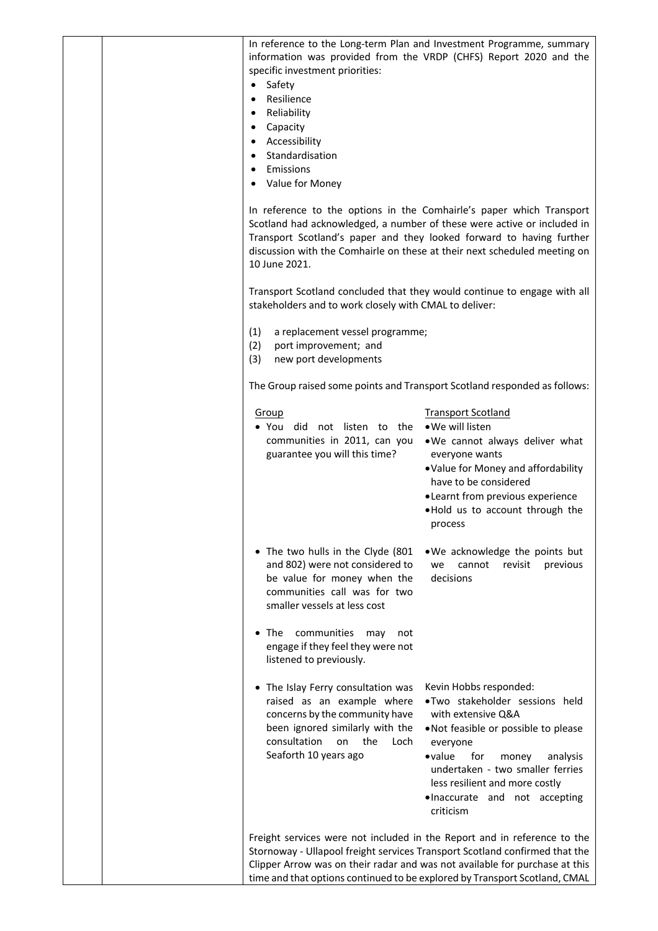| $\bullet$<br>٠<br>$\bullet$<br>٠ | specific investment priorities:<br>Safety<br>Resilience<br>Reliability<br>Capacity<br>Accessibility<br>Standardisation<br>Emissions<br>Value for Money                                              | In reference to the Long-term Plan and Investment Programme, summary<br>information was provided from the VRDP (CHFS) Report 2020 and the                                                                                                                                                                            |
|----------------------------------|-----------------------------------------------------------------------------------------------------------------------------------------------------------------------------------------------------|----------------------------------------------------------------------------------------------------------------------------------------------------------------------------------------------------------------------------------------------------------------------------------------------------------------------|
|                                  | 10 June 2021.                                                                                                                                                                                       | In reference to the options in the Comhairle's paper which Transport<br>Scotland had acknowledged, a number of these were active or included in<br>Transport Scotland's paper and they looked forward to having further<br>discussion with the Comhairle on these at their next scheduled meeting on                 |
|                                  | stakeholders and to work closely with CMAL to deliver:                                                                                                                                              | Transport Scotland concluded that they would continue to engage with all                                                                                                                                                                                                                                             |
| (1)<br>(2)<br>(3)                | a replacement vessel programme;<br>port improvement; and<br>new port developments                                                                                                                   |                                                                                                                                                                                                                                                                                                                      |
|                                  |                                                                                                                                                                                                     | The Group raised some points and Transport Scotland responded as follows:                                                                                                                                                                                                                                            |
|                                  | Group<br>• You did not listen to the<br>communities in 2011, can you<br>guarantee you will this time?                                                                                               | <b>Transport Scotland</b><br>• We will listen<br>. We cannot always deliver what<br>everyone wants<br>. Value for Money and affordability<br>have to be considered<br>• Learnt from previous experience<br>. Hold us to account through the<br>process                                                               |
|                                  | • The two hulls in the Clyde (801<br>and 802) were not considered to<br>be value for money when the<br>communities call was for two<br>smaller vessels at less cost                                 | . We acknowledge the points but<br>cannot<br>revisit<br>previous<br>we<br>decisions                                                                                                                                                                                                                                  |
|                                  | $\bullet$ The<br>communities<br>may<br>not<br>engage if they feel they were not<br>listened to previously.                                                                                          |                                                                                                                                                                                                                                                                                                                      |
|                                  | • The Islay Ferry consultation was<br>raised as an example where<br>concerns by the community have<br>been ignored similarly with the<br>consultation<br>on<br>the<br>Loch<br>Seaforth 10 years ago | Kevin Hobbs responded:<br>.Two stakeholder sessions held<br>with extensive Q&A<br>. Not feasible or possible to please<br>everyone<br>$\bullet$ value<br>for<br>money<br>analysis<br>undertaken - two smaller ferries<br>less resilient and more costly<br>.Inaccurate and not accepting<br>criticism                |
|                                  |                                                                                                                                                                                                     | Freight services were not included in the Report and in reference to the<br>Stornoway - Ullapool freight services Transport Scotland confirmed that the<br>Clipper Arrow was on their radar and was not available for purchase at this<br>time and that options continued to be explored by Transport Scotland, CMAL |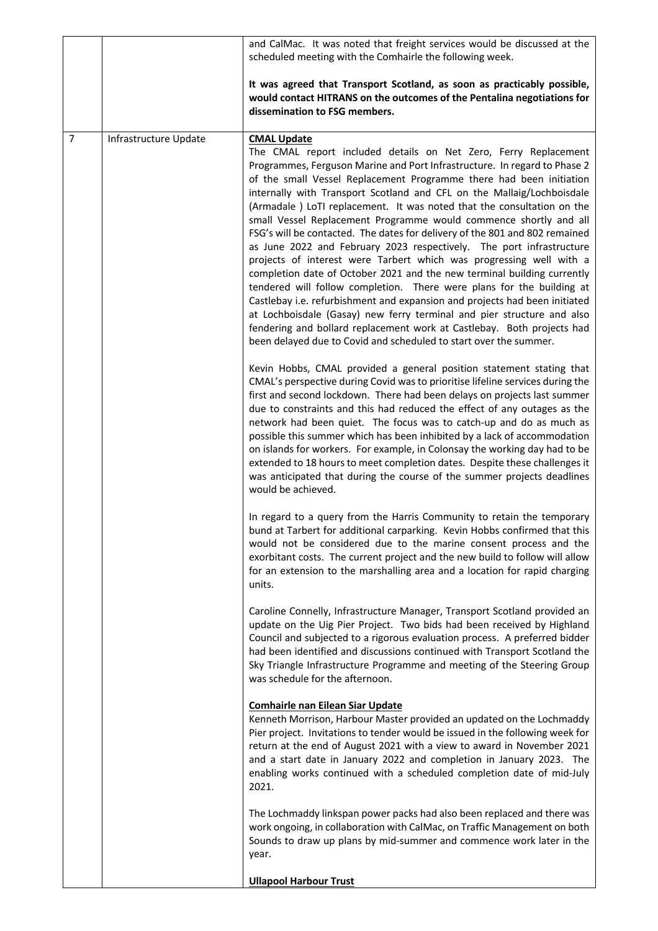|                |                       | and CalMac. It was noted that freight services would be discussed at the<br>scheduled meeting with the Comhairle the following week.                                                                                                                                                                                                                                                                                                                                                                                                                                                                                                                                                                                                                                                                                                                                                                                                                                                                                                                                                                                                                         |
|----------------|-----------------------|--------------------------------------------------------------------------------------------------------------------------------------------------------------------------------------------------------------------------------------------------------------------------------------------------------------------------------------------------------------------------------------------------------------------------------------------------------------------------------------------------------------------------------------------------------------------------------------------------------------------------------------------------------------------------------------------------------------------------------------------------------------------------------------------------------------------------------------------------------------------------------------------------------------------------------------------------------------------------------------------------------------------------------------------------------------------------------------------------------------------------------------------------------------|
|                |                       | It was agreed that Transport Scotland, as soon as practicably possible,<br>would contact HITRANS on the outcomes of the Pentalina negotiations for<br>dissemination to FSG members.                                                                                                                                                                                                                                                                                                                                                                                                                                                                                                                                                                                                                                                                                                                                                                                                                                                                                                                                                                          |
| $\overline{7}$ | Infrastructure Update | <b>CMAL Update</b><br>The CMAL report included details on Net Zero, Ferry Replacement<br>Programmes, Ferguson Marine and Port Infrastructure. In regard to Phase 2<br>of the small Vessel Replacement Programme there had been initiation<br>internally with Transport Scotland and CFL on the Mallaig/Lochboisdale<br>(Armadale ) LoTI replacement. It was noted that the consultation on the<br>small Vessel Replacement Programme would commence shortly and all<br>FSG's will be contacted. The dates for delivery of the 801 and 802 remained<br>as June 2022 and February 2023 respectively. The port infrastructure<br>projects of interest were Tarbert which was progressing well with a<br>completion date of October 2021 and the new terminal building currently<br>tendered will follow completion. There were plans for the building at<br>Castlebay i.e. refurbishment and expansion and projects had been initiated<br>at Lochboisdale (Gasay) new ferry terminal and pier structure and also<br>fendering and bollard replacement work at Castlebay. Both projects had<br>been delayed due to Covid and scheduled to start over the summer. |
|                |                       | Kevin Hobbs, CMAL provided a general position statement stating that<br>CMAL's perspective during Covid was to prioritise lifeline services during the<br>first and second lockdown. There had been delays on projects last summer<br>due to constraints and this had reduced the effect of any outages as the<br>network had been quiet. The focus was to catch-up and do as much as<br>possible this summer which has been inhibited by a lack of accommodation<br>on islands for workers. For example, in Colonsay the working day had to be<br>extended to 18 hours to meet completion dates. Despite these challenges it<br>was anticipated that during the course of the summer projects deadlines<br>would be achieved.                                                                                                                                                                                                                                                                                                                                                                                                                               |
|                |                       | In regard to a query from the Harris Community to retain the temporary<br>bund at Tarbert for additional carparking. Kevin Hobbs confirmed that this<br>would not be considered due to the marine consent process and the<br>exorbitant costs. The current project and the new build to follow will allow<br>for an extension to the marshalling area and a location for rapid charging<br>units.                                                                                                                                                                                                                                                                                                                                                                                                                                                                                                                                                                                                                                                                                                                                                            |
|                |                       | Caroline Connelly, Infrastructure Manager, Transport Scotland provided an<br>update on the Uig Pier Project. Two bids had been received by Highland<br>Council and subjected to a rigorous evaluation process. A preferred bidder<br>had been identified and discussions continued with Transport Scotland the<br>Sky Triangle Infrastructure Programme and meeting of the Steering Group<br>was schedule for the afternoon.                                                                                                                                                                                                                                                                                                                                                                                                                                                                                                                                                                                                                                                                                                                                 |
|                |                       | <b>Comhairle nan Eilean Siar Update</b><br>Kenneth Morrison, Harbour Master provided an updated on the Lochmaddy<br>Pier project. Invitations to tender would be issued in the following week for<br>return at the end of August 2021 with a view to award in November 2021<br>and a start date in January 2022 and completion in January 2023. The<br>enabling works continued with a scheduled completion date of mid-July<br>2021.                                                                                                                                                                                                                                                                                                                                                                                                                                                                                                                                                                                                                                                                                                                        |
|                |                       | The Lochmaddy linkspan power packs had also been replaced and there was<br>work ongoing, in collaboration with CalMac, on Traffic Management on both<br>Sounds to draw up plans by mid-summer and commence work later in the<br>year.                                                                                                                                                                                                                                                                                                                                                                                                                                                                                                                                                                                                                                                                                                                                                                                                                                                                                                                        |
|                |                       | <b>Ullapool Harbour Trust</b>                                                                                                                                                                                                                                                                                                                                                                                                                                                                                                                                                                                                                                                                                                                                                                                                                                                                                                                                                                                                                                                                                                                                |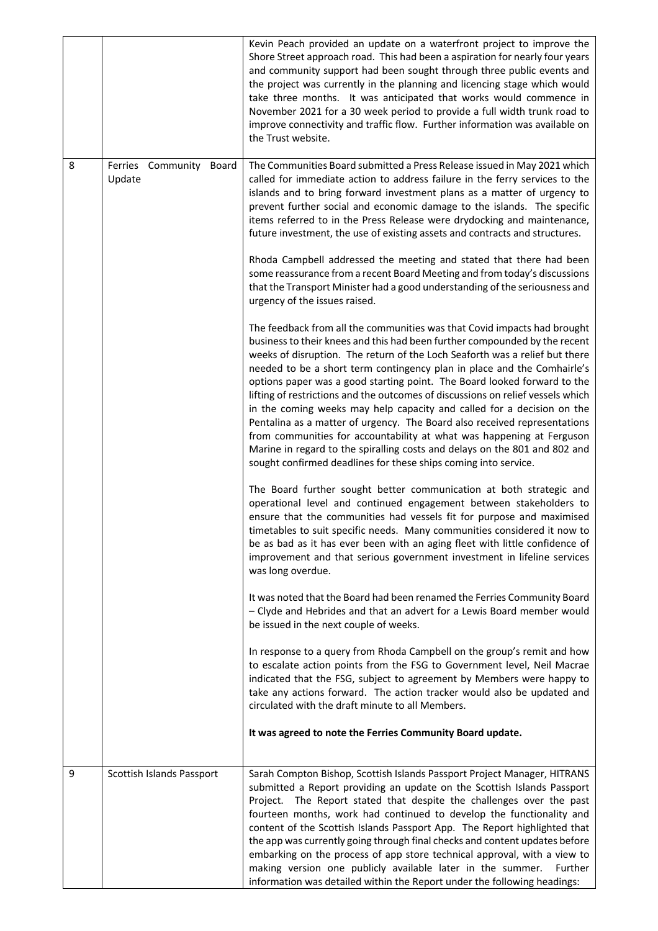|   |                                   | Kevin Peach provided an update on a waterfront project to improve the<br>Shore Street approach road. This had been a aspiration for nearly four years<br>and community support had been sought through three public events and<br>the project was currently in the planning and licencing stage which would<br>take three months. It was anticipated that works would commence in<br>November 2021 for a 30 week period to provide a full width trunk road to<br>improve connectivity and traffic flow. Further information was available on<br>the Trust website.                                                                                                                                                                                                                                                                                               |
|---|-----------------------------------|------------------------------------------------------------------------------------------------------------------------------------------------------------------------------------------------------------------------------------------------------------------------------------------------------------------------------------------------------------------------------------------------------------------------------------------------------------------------------------------------------------------------------------------------------------------------------------------------------------------------------------------------------------------------------------------------------------------------------------------------------------------------------------------------------------------------------------------------------------------|
| 8 | Ferries Community Board<br>Update | The Communities Board submitted a Press Release issued in May 2021 which<br>called for immediate action to address failure in the ferry services to the<br>islands and to bring forward investment plans as a matter of urgency to<br>prevent further social and economic damage to the islands. The specific<br>items referred to in the Press Release were drydocking and maintenance,<br>future investment, the use of existing assets and contracts and structures.                                                                                                                                                                                                                                                                                                                                                                                          |
|   |                                   | Rhoda Campbell addressed the meeting and stated that there had been<br>some reassurance from a recent Board Meeting and from today's discussions<br>that the Transport Minister had a good understanding of the seriousness and<br>urgency of the issues raised.                                                                                                                                                                                                                                                                                                                                                                                                                                                                                                                                                                                                 |
|   |                                   | The feedback from all the communities was that Covid impacts had brought<br>business to their knees and this had been further compounded by the recent<br>weeks of disruption. The return of the Loch Seaforth was a relief but there<br>needed to be a short term contingency plan in place and the Comhairle's<br>options paper was a good starting point. The Board looked forward to the<br>lifting of restrictions and the outcomes of discussions on relief vessels which<br>in the coming weeks may help capacity and called for a decision on the<br>Pentalina as a matter of urgency. The Board also received representations<br>from communities for accountability at what was happening at Ferguson<br>Marine in regard to the spiralling costs and delays on the 801 and 802 and<br>sought confirmed deadlines for these ships coming into service. |
|   |                                   | The Board further sought better communication at both strategic and<br>operational level and continued engagement between stakeholders to<br>ensure that the communities had vessels fit for purpose and maximised<br>timetables to suit specific needs. Many communities considered it now to<br>be as bad as it has ever been with an aging fleet with little confidence of<br>improvement and that serious government investment in lifeline services<br>was long overdue.                                                                                                                                                                                                                                                                                                                                                                                    |
|   |                                   | It was noted that the Board had been renamed the Ferries Community Board<br>- Clyde and Hebrides and that an advert for a Lewis Board member would<br>be issued in the next couple of weeks.                                                                                                                                                                                                                                                                                                                                                                                                                                                                                                                                                                                                                                                                     |
|   |                                   | In response to a query from Rhoda Campbell on the group's remit and how<br>to escalate action points from the FSG to Government level, Neil Macrae<br>indicated that the FSG, subject to agreement by Members were happy to<br>take any actions forward. The action tracker would also be updated and<br>circulated with the draft minute to all Members.                                                                                                                                                                                                                                                                                                                                                                                                                                                                                                        |
|   |                                   | It was agreed to note the Ferries Community Board update.                                                                                                                                                                                                                                                                                                                                                                                                                                                                                                                                                                                                                                                                                                                                                                                                        |
| 9 | Scottish Islands Passport         | Sarah Compton Bishop, Scottish Islands Passport Project Manager, HITRANS<br>submitted a Report providing an update on the Scottish Islands Passport<br>The Report stated that despite the challenges over the past<br>Project.<br>fourteen months, work had continued to develop the functionality and<br>content of the Scottish Islands Passport App. The Report highlighted that<br>the app was currently going through final checks and content updates before<br>embarking on the process of app store technical approval, with a view to<br>making version one publicly available later in the summer.<br>Further<br>information was detailed within the Report under the following headings:                                                                                                                                                              |